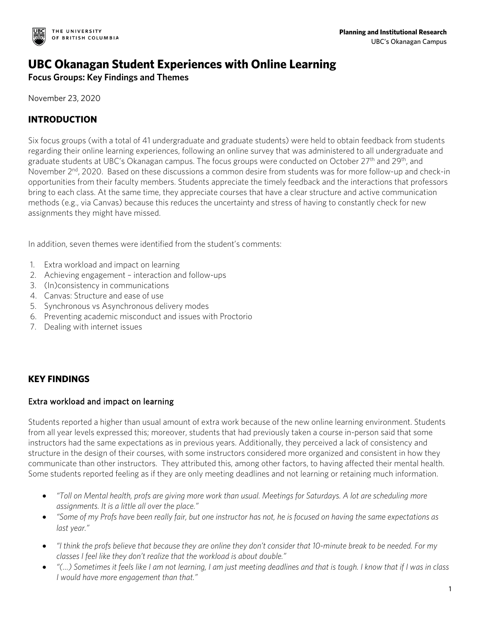

# **UBC Okanagan Student Experiences with Online Learning**

**Focus Groups: Key Findings and Themes**

November 23, 2020

# **INTRODUCTION**

Six focus groups (with a total of 41 undergraduate and graduate students) were held to obtain feedback from students regarding their online learning experiences, following an online survey that was administered to all undergraduate and graduate students at UBC's Okanagan campus. The focus groups were conducted on October 27<sup>th</sup> and 29<sup>th</sup>, and November 2<sup>nd</sup>, 2020. Based on these discussions a common desire from students was for more follow-up and check-in opportunities from their faculty members. Students appreciate the timely feedback and the interactions that professors bring to each class. At the same time, they appreciate courses that have a clear structure and active communication methods (e.g., via Canvas) because this reduces the uncertainty and stress of having to constantly check for new assignments they might have missed.

In addition, seven themes were identified from the student's comments:

- 1. Extra workload and impact on learning
- 2. Achieving engagement interaction and follow-ups
- 3. (In)consistency in communications
- 4. Canvas: Structure and ease of use
- 5. Synchronous vs Asynchronous delivery modes
- 6. Preventing academic misconduct and issues with Proctorio
- 7. Dealing with internet issues

## **KEY FINDINGS**

#### Extra workload and impact on learning

Students reported a higher than usual amount of extra work because of the new online learning environment. Students from all year levels expressed this; moreover, students that had previously taken a course in-person said that some instructors had the same expectations as in previous years. Additionally, they perceived a lack of consistency and structure in the design of their courses, with some instructors considered more organized and consistent in how they communicate than other instructors. They attributed this, among other factors, to having affected their mental health. Some students reported feeling as if they are only meeting deadlines and not learning or retaining much information.

- *"Toll on Mental health, profs are giving more work than usual. Meetings for Saturdays. A lot are scheduling more assignments. It is a little all over the place."*
- *"Some of my Profs have been really fair, but one instructor has not, he is focused on having the same expectations as last year."*
- *"I think the profs believe that because they are online they don't consider that 10-minute break to be needed. For my classes I feel like they don't realize that the workload is about double."*
- *"(…) Sometimes it feels like I am not learning, I am just meeting deadlines and that is tough. I know that if I was in class I would have more engagement than that."*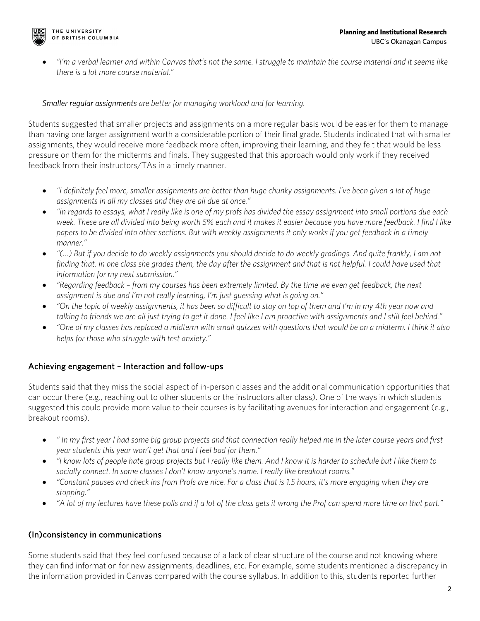

• *"I'm a verbal learner and within Canvas that's not the same. I struggle to maintain the course material and it seems like there is a lot more course material."*

#### *Smaller regular assignments are better for managing workload and for learning.*

Students suggested that smaller projects and assignments on a more regular basis would be easier for them to manage than having one larger assignment worth a considerable portion of their final grade. Students indicated that with smaller assignments, they would receive more feedback more often, improving their learning, and they felt that would be less pressure on them for the midterms and finals. They suggested that this approach would only work if they received feedback from their instructors/TAs in a timely manner.

- *"I definitely feel more, smaller assignments are better than huge chunky assignments. I've been given a lot of huge assignments in all my classes and they are all due at once."*
- *"In regards to essays, what I really like is one of my profs has divided the essay assignment into small portions due each week. These are all divided into being worth 5% each and it makes it easier because you have more feedback. I find I like papers to be divided into other sections. But with weekly assignments it only works if you get feedback in a timely manner."*
- *"(…) But if you decide to do weekly assignments you should decide to do weekly gradings. And quite frankly, I am not finding that. In one class she grades them, the day after the assignment and that is not helpful. I could have used that information for my next submission."*
- *"Regarding feedback – from my courses has been extremely limited. By the time we even get feedback, the next assignment is due and I'm not really learning, I'm just guessing what is going on."*
- *"On the topic of weekly assignments, it has been so difficult to stay on top of them and I'm in my 4th year now and talking to friends we are all just trying to get it done. I feel like I am proactive with assignments and I still feel behind."*
- *"One of my classes has replaced a midterm with small quizzes with questions that would be on a midterm. I think it also helps for those who struggle with test anxiety."*

#### Achieving engagement – Interaction and follow-ups

Students said that they miss the social aspect of in-person classes and the additional communication opportunities that can occur there (e.g., reaching out to other students or the instructors after class). One of the ways in which students suggested this could provide more value to their courses is by facilitating avenues for interaction and engagement (e.g., breakout rooms).

- *" In my first year I had some big group projects and that connection really helped me in the later course years and first year students this year won't get that and I feel bad for them."*
- *"I know lots of people hate group projects but I really like them. And I know it is harder to schedule but I like them to socially connect. In some classes I don't know anyone's name. I really like breakout rooms."*
- *"Constant pauses and check ins from Profs are nice. For a class that is 1.5 hours, it's more engaging when they are stopping."*
- *"A lot of my lectures have these polls and if a lot of the class gets it wrong the Prof can spend more time on that part."*

## (In)consistency in communications

Some students said that they feel confused because of a lack of clear structure of the course and not knowing where they can find information for new assignments, deadlines, etc. For example, some students mentioned a discrepancy in the information provided in Canvas compared with the course syllabus. In addition to this, students reported further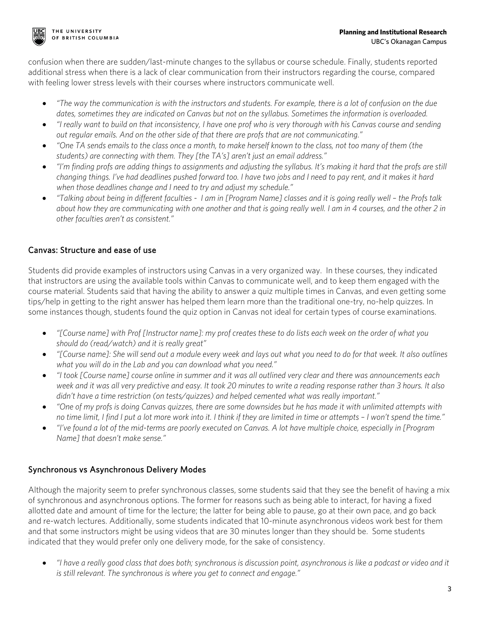

confusion when there are sudden/last-minute changes to the syllabus or course schedule. Finally, students reported additional stress when there is a lack of clear communication from their instructors regarding the course, compared with feeling lower stress levels with their courses where instructors communicate well.

- *"The way the communication is with the instructors and students. For example, there is a lot of confusion on the due dates, sometimes they are indicated on Canvas but not on the syllabus. Sometimes the information is overloaded.*
- *"I really want to build on that inconsistency, I have one prof who is very thorough with his Canvas course and sending out regular emails. And on the other side of that there are profs that are not communicating."*
- *"One TA sends emails to the class once a month, to make herself known to the class, not too many of them (the students) are connecting with them. They [the TA's] aren't just an email address."*
- *"I'm finding profs are adding things to assignments and adjusting the syllabus. It's making it hard that the profs are still changing things. I've had deadlines pushed forward too. I have two jobs and I need to pay rent, and it makes it hard when those deadlines change and I need to try and adjust my schedule."*
- *"Talking about being in different faculties I am in [Program Name] classes and it is going really well – the Profs talk about how they are communicating with one another and that is going really well. I am in 4 courses, and the other 2 in other faculties aren't as consistent."*

# Canvas: Structure and ease of use

Students did provide examples of instructors using Canvas in a very organized way. In these courses, they indicated that instructors are using the available tools within Canvas to communicate well, and to keep them engaged with the course material. Students said that having the ability to answer a quiz multiple times in Canvas, and even getting some tips/help in getting to the right answer has helped them learn more than the traditional one-try, no-help quizzes. In some instances though, students found the quiz option in Canvas not ideal for certain types of course examinations.

- *"[Course name] with Prof [Instructor name]: my prof creates these to do lists each week on the order of what you should do (read/watch) and it is really great"*
- *"[Course name]: She will send out a module every week and lays out what you need to do for that week. It also outlines what you will do in the Lab and you can download what you need."*
- *"I took [Course name] course online in summer and it was all outlined very clear and there was announcements each week and it was all very predictive and easy. It took 20 minutes to write a reading response rather than 3 hours. It also didn't have a time restriction (on tests/quizzes) and helped cemented what was really important."*
- *"One of my profs is doing Canvas quizzes, there are some downsides but he has made it with unlimited attempts with no time limit, I find I put a lot more work into it. I think if they are limited in time or attempts – I won't spend the time."*
- *"I've found a lot of the mid-terms are poorly executed on Canvas. A lot have multiple choice, especially in [Program Name] that doesn't make sense."*

# Synchronous vs Asynchronous Delivery Modes

Although the majority seem to prefer synchronous classes, some students said that they see the benefit of having a mix of synchronous and asynchronous options. The former for reasons such as being able to interact, for having a fixed allotted date and amount of time for the lecture; the latter for being able to pause, go at their own pace, and go back and re-watch lectures. Additionally, some students indicated that 10-minute asynchronous videos work best for them and that some instructors might be using videos that are 30 minutes longer than they should be. Some students indicated that they would prefer only one delivery mode, for the sake of consistency.

• *"I have a really good class that does both; synchronous is discussion point, asynchronous is like a podcast or video and it is still relevant. The synchronous is where you get to connect and engage."*